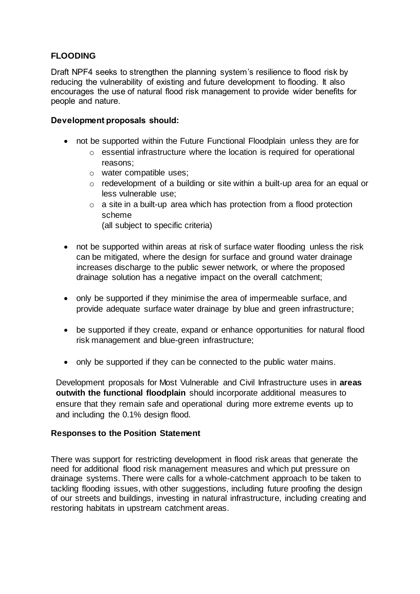## **FLOODING**

Draft NPF4 seeks to strengthen the planning system's resilience to flood risk by reducing the vulnerability of existing and future development to flooding. It also encourages the use of natural flood risk management to provide wider benefits for people and nature.

## **Development proposals should:**

- not be supported within the Future Functional Floodplain unless they are for
	- o essential infrastructure where the location is required for operational reasons;
	- o water compatible uses;
	- o redevelopment of a building or site within a built-up area for an equal or less vulnerable use;
	- $\circ$  a site in a built-up area which has protection from a flood protection scheme

(all subject to specific criteria)

- not be supported within areas at risk of surface water flooding unless the risk can be mitigated, where the design for surface and ground water drainage increases discharge to the public sewer network, or where the proposed drainage solution has a negative impact on the overall catchment;
- only be supported if they minimise the area of impermeable surface, and provide adequate surface water drainage by blue and green infrastructure;
- be supported if they create, expand or enhance opportunities for natural flood risk management and blue-green infrastructure;
- only be supported if they can be connected to the public water mains.

Development proposals for Most Vulnerable and Civil Infrastructure uses in **areas outwith the functional floodplain** should incorporate additional measures to ensure that they remain safe and operational during more extreme events up to and including the 0.1% design flood.

## **Responses to the Position Statement**

There was support for restricting development in flood risk areas that generate the need for additional flood risk management measures and which put pressure on drainage systems. There were calls for a whole-catchment approach to be taken to tackling flooding issues, with other suggestions, including future proofing the design of our streets and buildings, investing in natural infrastructure, including creating and restoring habitats in upstream catchment areas.